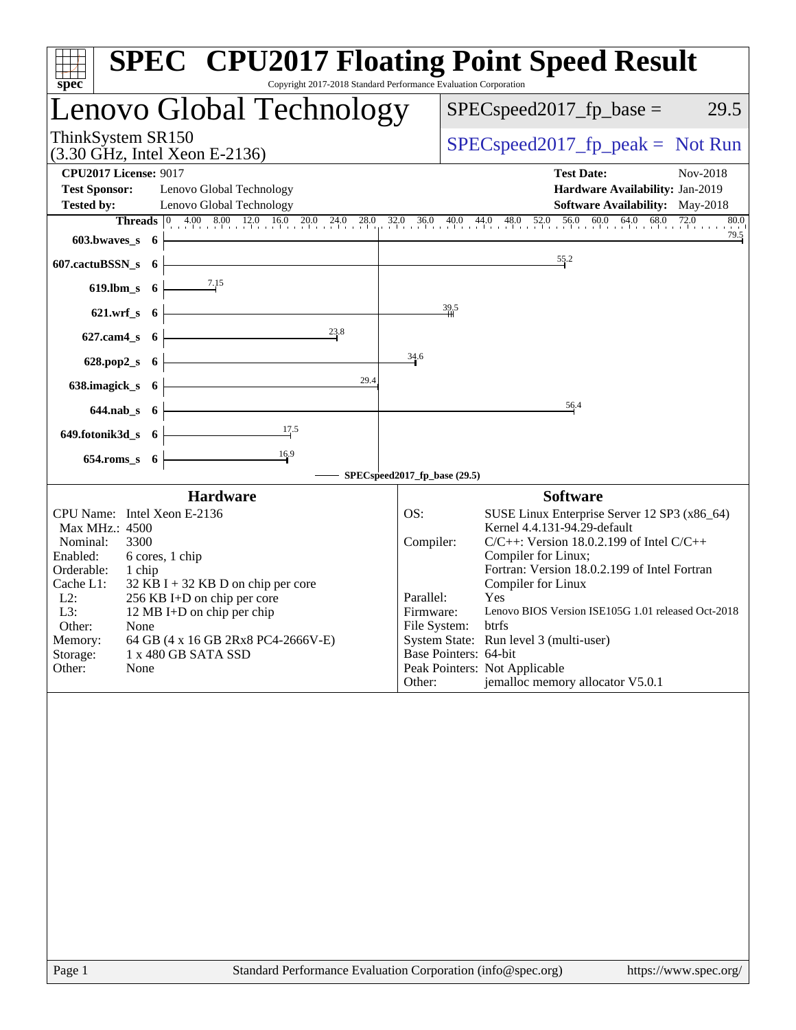| spec                                                                                                                                                                                                                                                                                                                                                                                                                                        | <b>SPEC<sup>®</sup></b> CPU2017 Floating Point Speed Result<br>Copyright 2017-2018 Standard Performance Evaluation Corporation |
|---------------------------------------------------------------------------------------------------------------------------------------------------------------------------------------------------------------------------------------------------------------------------------------------------------------------------------------------------------------------------------------------------------------------------------------------|--------------------------------------------------------------------------------------------------------------------------------|
| Lenovo Global Technology                                                                                                                                                                                                                                                                                                                                                                                                                    | $SPEC speed2017_fp\_base =$<br>29.5                                                                                            |
| ThinkSystem SR150<br>(3.30 GHz, Intel Xeon E-2136)                                                                                                                                                                                                                                                                                                                                                                                          | $SPEC speed2017_fp\_peak = Not Run$                                                                                            |
| <b>CPU2017 License: 9017</b>                                                                                                                                                                                                                                                                                                                                                                                                                | <b>Test Date:</b><br>Nov-2018                                                                                                  |
| <b>Test Sponsor:</b><br>Lenovo Global Technology                                                                                                                                                                                                                                                                                                                                                                                            | Hardware Availability: Jan-2019                                                                                                |
| <b>Tested by:</b><br>Lenovo Global Technology                                                                                                                                                                                                                                                                                                                                                                                               | <b>Software Availability:</b> May-2018                                                                                         |
|                                                                                                                                                                                                                                                                                                                                                                                                                                             | Threads 0 4.00 8.00 12.0 16.0 20.0 24.0 28.0 32.0 36.0 40.0 44.0 48.0 52.0 56.0 60.0 64.0 68.0 72.0 80.0<br>80.0               |
| $603.bwaves_s$ 6                                                                                                                                                                                                                                                                                                                                                                                                                            | 79.5                                                                                                                           |
| $607$ .cactuBSSN_s $6$                                                                                                                                                                                                                                                                                                                                                                                                                      | $\frac{55.2}{2}$                                                                                                               |
| 619.lbm_s 6 $\overline{\hspace{1cm}}$ $\overline{\hspace{1cm}}$ $\overline{\hspace{1cm}}$ $\overline{\hspace{1cm}}$ $\overline{\hspace{1cm}}$ $\overline{\hspace{1cm}}$ $\overline{\hspace{1cm}}$ $\overline{\hspace{1cm}}$ $\overline{\hspace{1cm}}$ $\overline{\hspace{1cm}}$ $\overline{\hspace{1cm}}$ $\overline{\hspace{1cm}}$ $\overline{\hspace{1cm}}$ $\overline{\hspace{1cm}}$ $\overline{\hspace{1cm}}$ $\overline{\hspace{1cm}}$ |                                                                                                                                |
| 621.wrf_s $6 \left  \right.$                                                                                                                                                                                                                                                                                                                                                                                                                | 39.5                                                                                                                           |
| 23.8<br>$627.cam4_s$ 6                                                                                                                                                                                                                                                                                                                                                                                                                      |                                                                                                                                |
| 628.pop2_s $6 \leftarrow$                                                                                                                                                                                                                                                                                                                                                                                                                   | 34.6                                                                                                                           |
| 638.imagick_s $6 \left\downarrow$<br>29.4                                                                                                                                                                                                                                                                                                                                                                                                   |                                                                                                                                |
| $644.nab_s$ 6                                                                                                                                                                                                                                                                                                                                                                                                                               | 56.4                                                                                                                           |
| 649.fotonik3d_s 6 $\frac{17.5}{17.5}$                                                                                                                                                                                                                                                                                                                                                                                                       |                                                                                                                                |
| $654$ .roms_s $6$ –                                                                                                                                                                                                                                                                                                                                                                                                                         |                                                                                                                                |
|                                                                                                                                                                                                                                                                                                                                                                                                                                             | SPECspeed2017_fp_base (29.5)                                                                                                   |
| <b>Hardware</b>                                                                                                                                                                                                                                                                                                                                                                                                                             | <b>Software</b>                                                                                                                |
| CPU Name: Intel Xeon E-2136                                                                                                                                                                                                                                                                                                                                                                                                                 | SUSE Linux Enterprise Server 12 SP3 (x86_64)<br>OS:                                                                            |
| Max MHz.: 4500                                                                                                                                                                                                                                                                                                                                                                                                                              | Kernel 4.4.131-94.29-default                                                                                                   |
| Nominal:<br>3300<br>Enabled:<br>6 cores, 1 chip                                                                                                                                                                                                                                                                                                                                                                                             | Compiler:<br>$C/C++$ : Version 18.0.2.199 of Intel $C/C++$<br>Compiler for Linux;                                              |
| Orderable:<br>1 chip                                                                                                                                                                                                                                                                                                                                                                                                                        | Fortran: Version 18.0.2.199 of Intel Fortran                                                                                   |
| Cache L1:<br>$32$ KB I + 32 KB D on chip per core                                                                                                                                                                                                                                                                                                                                                                                           | Compiler for Linux                                                                                                             |
| $L2$ :<br>256 KB I+D on chip per core                                                                                                                                                                                                                                                                                                                                                                                                       | Parallel:<br>Yes                                                                                                               |
| L3:<br>12 MB I+D on chip per chip                                                                                                                                                                                                                                                                                                                                                                                                           | Lenovo BIOS Version ISE105G 1.01 released Oct-2018<br>Firmware:                                                                |
| Other:<br>None<br>64 GB (4 x 16 GB 2Rx8 PC4-2666V-E)                                                                                                                                                                                                                                                                                                                                                                                        | File System: btrfs<br>System State: Run level 3 (multi-user)                                                                   |
| Memory:<br>Storage:<br>1 x 480 GB SATA SSD                                                                                                                                                                                                                                                                                                                                                                                                  | Base Pointers: 64-bit                                                                                                          |
| Other:<br>None                                                                                                                                                                                                                                                                                                                                                                                                                              | Peak Pointers: Not Applicable                                                                                                  |
|                                                                                                                                                                                                                                                                                                                                                                                                                                             | jemalloc memory allocator V5.0.1<br>Other:                                                                                     |
|                                                                                                                                                                                                                                                                                                                                                                                                                                             |                                                                                                                                |
|                                                                                                                                                                                                                                                                                                                                                                                                                                             |                                                                                                                                |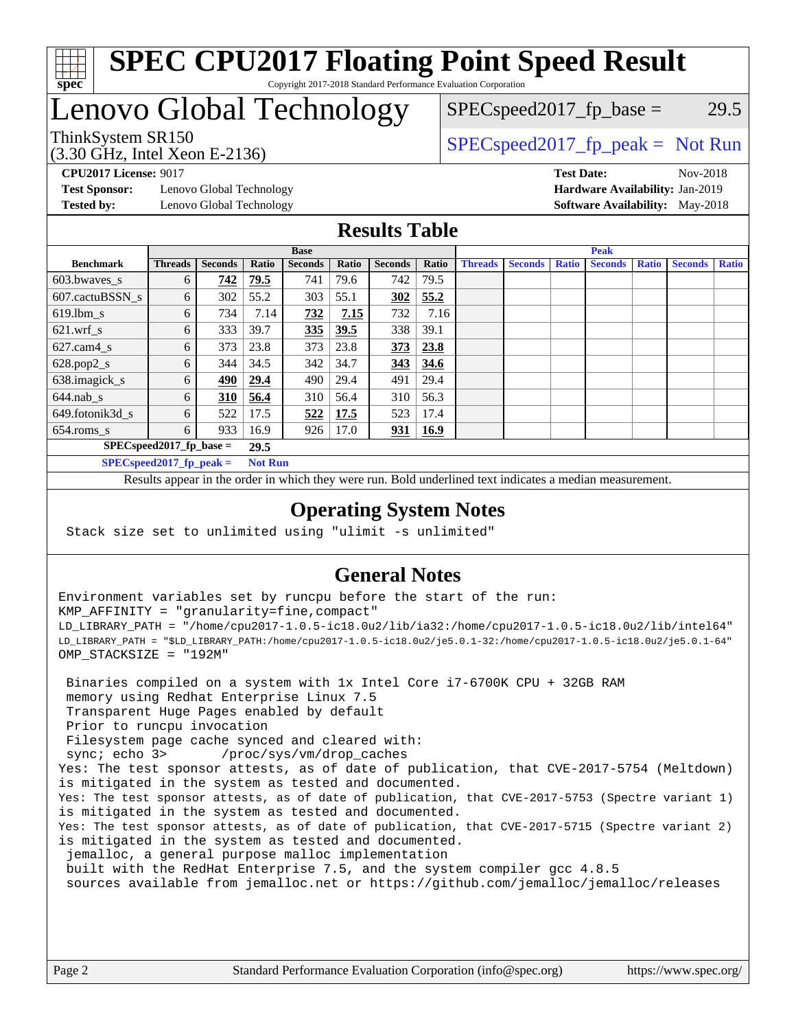

#### **[SPEC CPU2017 Floating Point Speed Result](http://www.spec.org/auto/cpu2017/Docs/result-fields.html#SPECCPU2017FloatingPointSpeedResult)** Copyright 2017-2018 Standard Performance Evaluation Corporation

# Lenovo Global Technology

(3.30 GHz, Intel Xeon E-2136)

ThinkSystem SR150  $SPEC speed2017$  [p\_peak = Not Run  $SPEC speed2017_fp\_base = 29.5$ 

**[Test Sponsor:](http://www.spec.org/auto/cpu2017/Docs/result-fields.html#TestSponsor)** Lenovo Global Technology **[Hardware Availability:](http://www.spec.org/auto/cpu2017/Docs/result-fields.html#HardwareAvailability)** Jan-2019 **[Tested by:](http://www.spec.org/auto/cpu2017/Docs/result-fields.html#Testedby)** Lenovo Global Technology **[Software Availability:](http://www.spec.org/auto/cpu2017/Docs/result-fields.html#SoftwareAvailability)** May-2018

**[CPU2017 License:](http://www.spec.org/auto/cpu2017/Docs/result-fields.html#CPU2017License)** 9017 **[Test Date:](http://www.spec.org/auto/cpu2017/Docs/result-fields.html#TestDate)** Nov-2018

### **[Results Table](http://www.spec.org/auto/cpu2017/Docs/result-fields.html#ResultsTable)**

|                            | <b>Base</b>    |                |                |                |       |                | <b>Peak</b> |                |                |              |                |              |                |              |
|----------------------------|----------------|----------------|----------------|----------------|-------|----------------|-------------|----------------|----------------|--------------|----------------|--------------|----------------|--------------|
| <b>Benchmark</b>           | <b>Threads</b> | <b>Seconds</b> | Ratio          | <b>Seconds</b> | Ratio | <b>Seconds</b> | Ratio       | <b>Threads</b> | <b>Seconds</b> | <b>Ratio</b> | <b>Seconds</b> | <b>Ratio</b> | <b>Seconds</b> | <b>Ratio</b> |
| 603.bwayes s               | 6              | 742            | 79.5           | 741            | 79.6  | 742            | 79.5        |                |                |              |                |              |                |              |
| 607.cactuBSSN s            | 6              | 302            | 55.2           | 303            | 55.1  | 302            | 55.2        |                |                |              |                |              |                |              |
| $619.$ lbm_s               | 6              | 734            | 7.14           | 732            | 7.15  | 732            | 7.16        |                |                |              |                |              |                |              |
| $621.wrf$ s                | 6              | 333            | 39.7           | 335            | 39.5  | 338            | 39.1        |                |                |              |                |              |                |              |
| $627$ .cam $4 \text{ s}$   | 6              | 373            | 23.8           | 373            | 23.8  | <u>373</u>     | 23.8        |                |                |              |                |              |                |              |
| $628.pop2_s$               | 6              | 344            | 34.5           | 342            | 34.7  | 343            | 34.6        |                |                |              |                |              |                |              |
| 638.imagick_s              | 6              | 490            | 29.4           | 490            | 29.4  | 491            | 29.4        |                |                |              |                |              |                |              |
| $644$ .nab s               | 6              | 310            | 56.4           | 310            | 56.4  | 310            | 56.3        |                |                |              |                |              |                |              |
| 649.fotonik3d s            | 6              | 522            | 17.5           | 522            | 17.5  | 523            | 17.4        |                |                |              |                |              |                |              |
| $654$ .roms s              | 6              | 933            | 16.9           | 926            | 17.0  | 931            | 16.9        |                |                |              |                |              |                |              |
| $SPEC speed2017$ fp base = | 29.5           |                |                |                |       |                |             |                |                |              |                |              |                |              |
| $SPECspeed2017_fp\_peak =$ |                |                | <b>Not Run</b> |                |       |                |             |                |                |              |                |              |                |              |

Results appear in the [order in which they were run.](http://www.spec.org/auto/cpu2017/Docs/result-fields.html#RunOrder) Bold underlined text [indicates a median measurement](http://www.spec.org/auto/cpu2017/Docs/result-fields.html#Median).

#### **[Operating System Notes](http://www.spec.org/auto/cpu2017/Docs/result-fields.html#OperatingSystemNotes)**

Stack size set to unlimited using "ulimit -s unlimited"

### **[General Notes](http://www.spec.org/auto/cpu2017/Docs/result-fields.html#GeneralNotes)**

Environment variables set by runcpu before the start of the run: KMP\_AFFINITY = "granularity=fine,compact" LD\_LIBRARY\_PATH = "/home/cpu2017-1.0.5-ic18.0u2/lib/ia32:/home/cpu2017-1.0.5-ic18.0u2/lib/intel64" LD\_LIBRARY\_PATH = "\$LD\_LIBRARY\_PATH:/home/cpu2017-1.0.5-ic18.0u2/je5.0.1-32:/home/cpu2017-1.0.5-ic18.0u2/je5.0.1-64" OMP\_STACKSIZE = "192M"

 Binaries compiled on a system with 1x Intel Core i7-6700K CPU + 32GB RAM memory using Redhat Enterprise Linux 7.5 Transparent Huge Pages enabled by default Prior to runcpu invocation Filesystem page cache synced and cleared with: sync; echo 3> /proc/sys/vm/drop\_caches Yes: The test sponsor attests, as of date of publication, that CVE-2017-5754 (Meltdown) is mitigated in the system as tested and documented. Yes: The test sponsor attests, as of date of publication, that CVE-2017-5753 (Spectre variant 1) is mitigated in the system as tested and documented. Yes: The test sponsor attests, as of date of publication, that CVE-2017-5715 (Spectre variant 2) is mitigated in the system as tested and documented. jemalloc, a general purpose malloc implementation built with the RedHat Enterprise 7.5, and the system compiler gcc 4.8.5 sources available from jemalloc.net or <https://github.com/jemalloc/jemalloc/releases>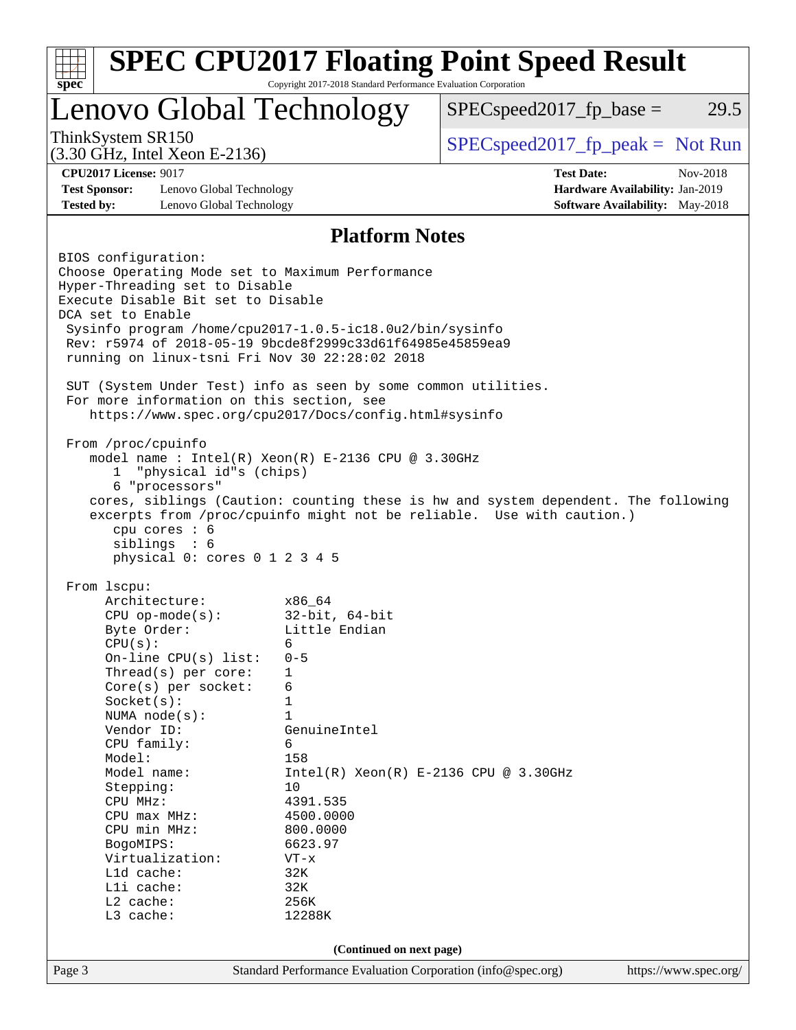

Page 3 Standard Performance Evaluation Corporation [\(info@spec.org\)](mailto:info@spec.org) <https://www.spec.org/>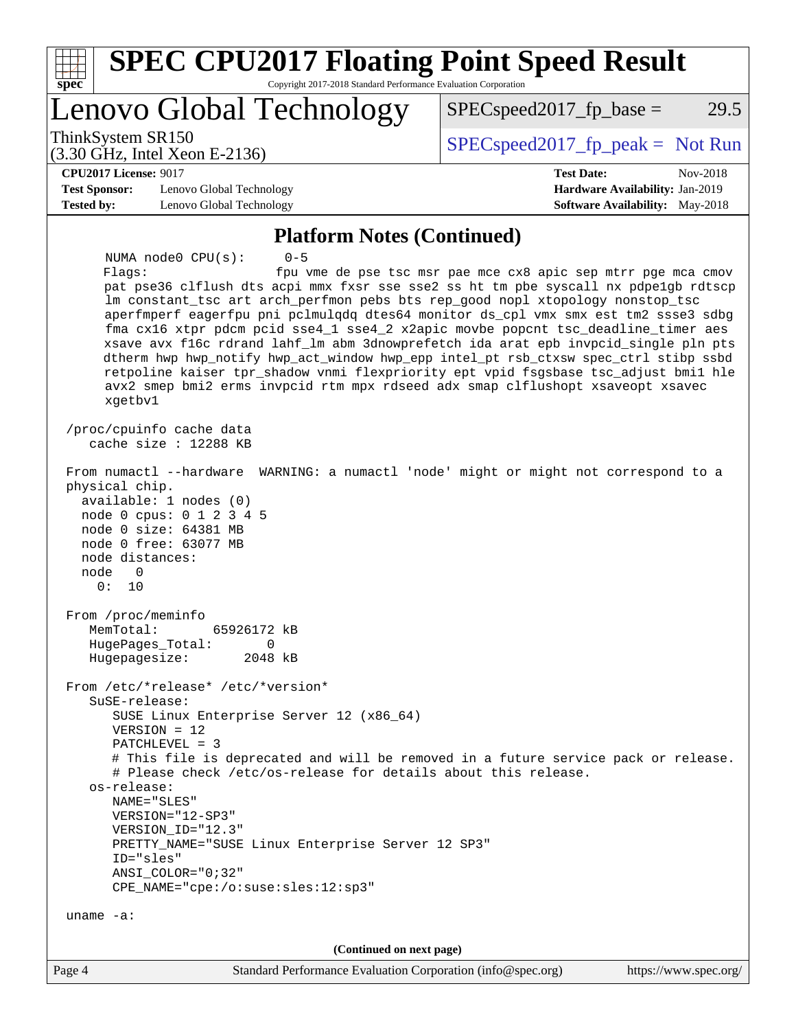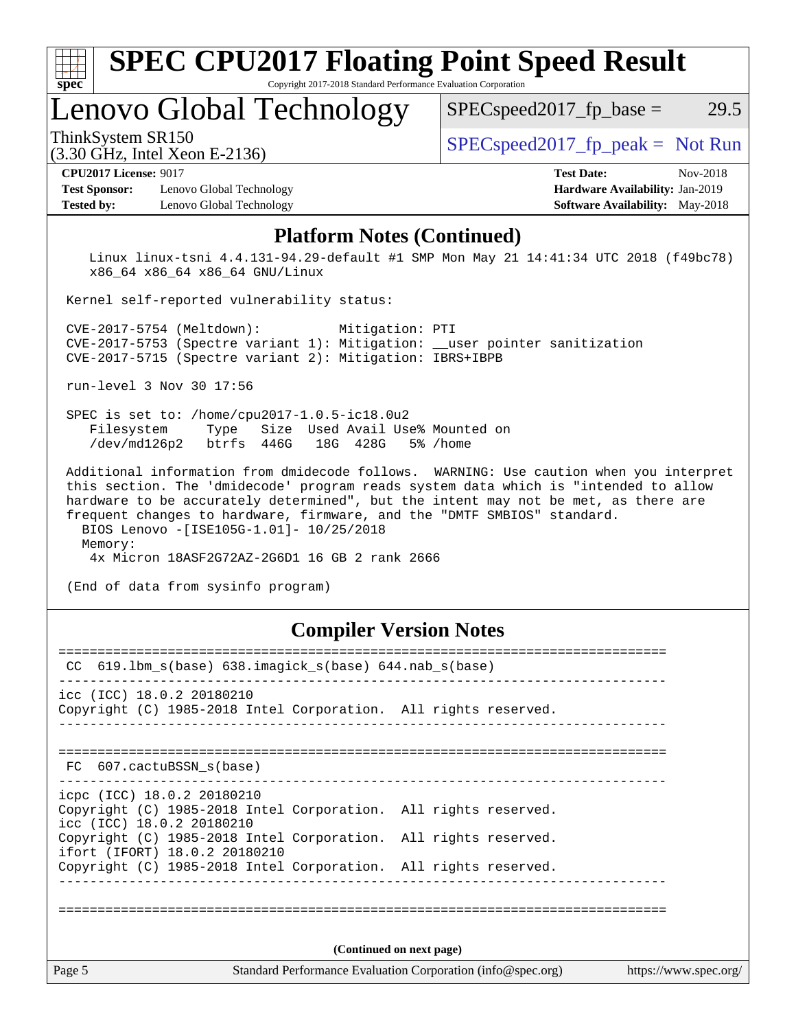| spec <sup>®</sup>    | <b>SPEC CPU2017 Floating Point Speed Result</b><br>Copyright 2017-2018 Standard Performance Evaluation Corporation |                                        |
|----------------------|--------------------------------------------------------------------------------------------------------------------|----------------------------------------|
|                      | Lenovo Global Technology                                                                                           | 29.5<br>$SPEC speed2017fp base =$      |
|                      | ThinkSystem SR150<br>(3.30 GHz, Intel Xeon E-2136)                                                                 | $SPEC speed2017_fp\_peak = Not Run$    |
|                      | <b>CPU2017 License: 9017</b>                                                                                       | <b>Test Date:</b><br>Nov-2018          |
| <b>Test Sponsor:</b> | Lenovo Global Technology                                                                                           | Hardware Availability: Jan-2019        |
| <b>Tested by:</b>    | Lenovo Global Technology                                                                                           | <b>Software Availability:</b> May-2018 |
|                      | <b>Platform Notes (Continued)</b>                                                                                  |                                        |

 Linux linux-tsni 4.4.131-94.29-default #1 SMP Mon May 21 14:41:34 UTC 2018 (f49bc78) x86\_64 x86\_64 x86\_64 GNU/Linux

Kernel self-reported vulnerability status:

 CVE-2017-5754 (Meltdown): Mitigation: PTI CVE-2017-5753 (Spectre variant 1): Mitigation: \_\_user pointer sanitization CVE-2017-5715 (Spectre variant 2): Mitigation: IBRS+IBPB

run-level 3 Nov 30 17:56

 SPEC is set to: /home/cpu2017-1.0.5-ic18.0u2 Filesystem Type Size Used Avail Use% Mounted on /dev/md126p2 btrfs 446G 18G 428G 5% /home

 Additional information from dmidecode follows. WARNING: Use caution when you interpret this section. The 'dmidecode' program reads system data which is "intended to allow hardware to be accurately determined", but the intent may not be met, as there are frequent changes to hardware, firmware, and the "DMTF SMBIOS" standard. BIOS Lenovo -[ISE105G-1.01]- 10/25/2018 Memory: 4x Micron 18ASF2G72AZ-2G6D1 16 GB 2 rank 2666

(End of data from sysinfo program)

#### **[Compiler Version Notes](http://www.spec.org/auto/cpu2017/Docs/result-fields.html#CompilerVersionNotes)**

| $CC$ 619.1bm_s(base) 638.imagick_s(base) 644.nab_s(base)                                                                   |  |  |  |  |  |  |  |  |
|----------------------------------------------------------------------------------------------------------------------------|--|--|--|--|--|--|--|--|
| icc (ICC) 18.0.2 20180210<br>Copyright (C) 1985-2018 Intel Corporation. All rights reserved.                               |  |  |  |  |  |  |  |  |
| FC 607.cactuBSSN s(base)                                                                                                   |  |  |  |  |  |  |  |  |
| icpc (ICC) 18.0.2 20180210<br>Copyright (C) 1985-2018 Intel Corporation. All rights reserved.<br>icc (ICC) 18.0.2 20180210 |  |  |  |  |  |  |  |  |
| Copyright (C) 1985-2018 Intel Corporation. All rights reserved.<br>ifort (IFORT) 18.0.2 20180210                           |  |  |  |  |  |  |  |  |
| Copyright (C) 1985-2018 Intel Corporation. All rights reserved.                                                            |  |  |  |  |  |  |  |  |
|                                                                                                                            |  |  |  |  |  |  |  |  |
| (Continued on next page)                                                                                                   |  |  |  |  |  |  |  |  |
| Page 5<br>Standard Performance Evaluation Corporation (info@spec.org)<br>https://www.spec.org/                             |  |  |  |  |  |  |  |  |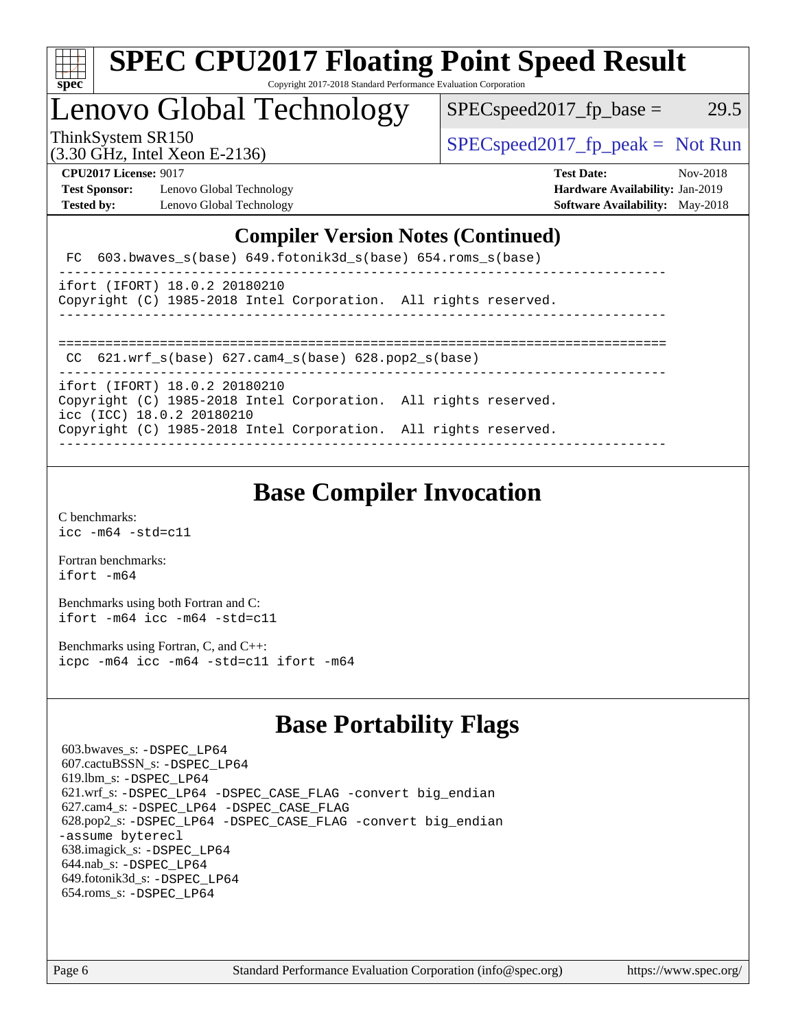

#### **[SPEC CPU2017 Floating Point Speed Result](http://www.spec.org/auto/cpu2017/Docs/result-fields.html#SPECCPU2017FloatingPointSpeedResult)** Copyright 2017-2018 Standard Performance Evaluation Corporation

# Lenovo Global Technology

ThinkSystem SR150  $SPEC speed2017$  [p\_peak = Not Run

 $SPEC speed2017<sub>fp</sub> base = 29.5$ 

(3.30 GHz, Intel Xeon E-2136)

**[CPU2017 License:](http://www.spec.org/auto/cpu2017/Docs/result-fields.html#CPU2017License)** 9017 **[Test Date:](http://www.spec.org/auto/cpu2017/Docs/result-fields.html#TestDate)** Nov-2018 **[Test Sponsor:](http://www.spec.org/auto/cpu2017/Docs/result-fields.html#TestSponsor)** Lenovo Global Technology **[Hardware Availability:](http://www.spec.org/auto/cpu2017/Docs/result-fields.html#HardwareAvailability)** Jan-2019

**[Tested by:](http://www.spec.org/auto/cpu2017/Docs/result-fields.html#Testedby)** Lenovo Global Technology **[Software Availability:](http://www.spec.org/auto/cpu2017/Docs/result-fields.html#SoftwareAvailability)** May-2018

#### **[Compiler Version Notes \(Continued\)](http://www.spec.org/auto/cpu2017/Docs/result-fields.html#CompilerVersionNotes)**

|  |  | FC 603.bwaves_s(base) 649.fotonik3d_s(base) 654.roms_s(base) |  |
|--|--|--------------------------------------------------------------|--|
|--|--|--------------------------------------------------------------|--|

```
------------------------------------------------------------------------------
ifort (IFORT) 18.0.2 20180210
Copyright (C) 1985-2018 Intel Corporation. All rights reserved.
```

| COPYLIGHT (C) 1900-2010 INTEL COLPOLATION. AIT LIGHTS LESELVEQ. |  |  |  |  |  |  |  |
|-----------------------------------------------------------------|--|--|--|--|--|--|--|
|                                                                 |  |  |  |  |  |  |  |

==============================================================================

CC 621.wrf\_s(base) 627.cam4\_s(base) 628.pop2\_s(base)

----------------------------------------------------------------------------- ifort (IFORT) 18.0.2 20180210

Copyright (C) 1985-2018 Intel Corporation. All rights reserved.

icc (ICC) 18.0.2 20180210

Copyright (C) 1985-2018 Intel Corporation. All rights reserved. ------------------------------------------------------------------------------

# **[Base Compiler Invocation](http://www.spec.org/auto/cpu2017/Docs/result-fields.html#BaseCompilerInvocation)**

[C benchmarks](http://www.spec.org/auto/cpu2017/Docs/result-fields.html#Cbenchmarks): [icc -m64 -std=c11](http://www.spec.org/cpu2017/results/res2018q4/cpu2017-20181210-10130.flags.html#user_CCbase_intel_icc_64bit_c11_33ee0cdaae7deeeab2a9725423ba97205ce30f63b9926c2519791662299b76a0318f32ddfffdc46587804de3178b4f9328c46fa7c2b0cd779d7a61945c91cd35)

[Fortran benchmarks](http://www.spec.org/auto/cpu2017/Docs/result-fields.html#Fortranbenchmarks): [ifort -m64](http://www.spec.org/cpu2017/results/res2018q4/cpu2017-20181210-10130.flags.html#user_FCbase_intel_ifort_64bit_24f2bb282fbaeffd6157abe4f878425411749daecae9a33200eee2bee2fe76f3b89351d69a8130dd5949958ce389cf37ff59a95e7a40d588e8d3a57e0c3fd751)

[Benchmarks using both Fortran and C](http://www.spec.org/auto/cpu2017/Docs/result-fields.html#BenchmarksusingbothFortranandC): [ifort -m64](http://www.spec.org/cpu2017/results/res2018q4/cpu2017-20181210-10130.flags.html#user_CC_FCbase_intel_ifort_64bit_24f2bb282fbaeffd6157abe4f878425411749daecae9a33200eee2bee2fe76f3b89351d69a8130dd5949958ce389cf37ff59a95e7a40d588e8d3a57e0c3fd751) [icc -m64 -std=c11](http://www.spec.org/cpu2017/results/res2018q4/cpu2017-20181210-10130.flags.html#user_CC_FCbase_intel_icc_64bit_c11_33ee0cdaae7deeeab2a9725423ba97205ce30f63b9926c2519791662299b76a0318f32ddfffdc46587804de3178b4f9328c46fa7c2b0cd779d7a61945c91cd35)

[Benchmarks using Fortran, C, and C++:](http://www.spec.org/auto/cpu2017/Docs/result-fields.html#BenchmarksusingFortranCandCXX) [icpc -m64](http://www.spec.org/cpu2017/results/res2018q4/cpu2017-20181210-10130.flags.html#user_CC_CXX_FCbase_intel_icpc_64bit_4ecb2543ae3f1412ef961e0650ca070fec7b7afdcd6ed48761b84423119d1bf6bdf5cad15b44d48e7256388bc77273b966e5eb805aefd121eb22e9299b2ec9d9) [icc -m64 -std=c11](http://www.spec.org/cpu2017/results/res2018q4/cpu2017-20181210-10130.flags.html#user_CC_CXX_FCbase_intel_icc_64bit_c11_33ee0cdaae7deeeab2a9725423ba97205ce30f63b9926c2519791662299b76a0318f32ddfffdc46587804de3178b4f9328c46fa7c2b0cd779d7a61945c91cd35) [ifort -m64](http://www.spec.org/cpu2017/results/res2018q4/cpu2017-20181210-10130.flags.html#user_CC_CXX_FCbase_intel_ifort_64bit_24f2bb282fbaeffd6157abe4f878425411749daecae9a33200eee2bee2fe76f3b89351d69a8130dd5949958ce389cf37ff59a95e7a40d588e8d3a57e0c3fd751)

# **[Base Portability Flags](http://www.spec.org/auto/cpu2017/Docs/result-fields.html#BasePortabilityFlags)**

 603.bwaves\_s: [-DSPEC\\_LP64](http://www.spec.org/cpu2017/results/res2018q4/cpu2017-20181210-10130.flags.html#suite_basePORTABILITY603_bwaves_s_DSPEC_LP64) 607.cactuBSSN\_s: [-DSPEC\\_LP64](http://www.spec.org/cpu2017/results/res2018q4/cpu2017-20181210-10130.flags.html#suite_basePORTABILITY607_cactuBSSN_s_DSPEC_LP64) 619.lbm\_s: [-DSPEC\\_LP64](http://www.spec.org/cpu2017/results/res2018q4/cpu2017-20181210-10130.flags.html#suite_basePORTABILITY619_lbm_s_DSPEC_LP64) 621.wrf\_s: [-DSPEC\\_LP64](http://www.spec.org/cpu2017/results/res2018q4/cpu2017-20181210-10130.flags.html#suite_basePORTABILITY621_wrf_s_DSPEC_LP64) [-DSPEC\\_CASE\\_FLAG](http://www.spec.org/cpu2017/results/res2018q4/cpu2017-20181210-10130.flags.html#b621.wrf_s_baseCPORTABILITY_DSPEC_CASE_FLAG) [-convert big\\_endian](http://www.spec.org/cpu2017/results/res2018q4/cpu2017-20181210-10130.flags.html#user_baseFPORTABILITY621_wrf_s_convert_big_endian_c3194028bc08c63ac5d04de18c48ce6d347e4e562e8892b8bdbdc0214820426deb8554edfa529a3fb25a586e65a3d812c835984020483e7e73212c4d31a38223) 627.cam4\_s: [-DSPEC\\_LP64](http://www.spec.org/cpu2017/results/res2018q4/cpu2017-20181210-10130.flags.html#suite_basePORTABILITY627_cam4_s_DSPEC_LP64) [-DSPEC\\_CASE\\_FLAG](http://www.spec.org/cpu2017/results/res2018q4/cpu2017-20181210-10130.flags.html#b627.cam4_s_baseCPORTABILITY_DSPEC_CASE_FLAG) 628.pop2\_s: [-DSPEC\\_LP64](http://www.spec.org/cpu2017/results/res2018q4/cpu2017-20181210-10130.flags.html#suite_basePORTABILITY628_pop2_s_DSPEC_LP64) [-DSPEC\\_CASE\\_FLAG](http://www.spec.org/cpu2017/results/res2018q4/cpu2017-20181210-10130.flags.html#b628.pop2_s_baseCPORTABILITY_DSPEC_CASE_FLAG) [-convert big\\_endian](http://www.spec.org/cpu2017/results/res2018q4/cpu2017-20181210-10130.flags.html#user_baseFPORTABILITY628_pop2_s_convert_big_endian_c3194028bc08c63ac5d04de18c48ce6d347e4e562e8892b8bdbdc0214820426deb8554edfa529a3fb25a586e65a3d812c835984020483e7e73212c4d31a38223) [-assume byterecl](http://www.spec.org/cpu2017/results/res2018q4/cpu2017-20181210-10130.flags.html#user_baseFPORTABILITY628_pop2_s_assume_byterecl_7e47d18b9513cf18525430bbf0f2177aa9bf368bc7a059c09b2c06a34b53bd3447c950d3f8d6c70e3faf3a05c8557d66a5798b567902e8849adc142926523472) 638.imagick\_s: [-DSPEC\\_LP64](http://www.spec.org/cpu2017/results/res2018q4/cpu2017-20181210-10130.flags.html#suite_basePORTABILITY638_imagick_s_DSPEC_LP64) 644.nab\_s: [-DSPEC\\_LP64](http://www.spec.org/cpu2017/results/res2018q4/cpu2017-20181210-10130.flags.html#suite_basePORTABILITY644_nab_s_DSPEC_LP64) 649.fotonik3d\_s: [-DSPEC\\_LP64](http://www.spec.org/cpu2017/results/res2018q4/cpu2017-20181210-10130.flags.html#suite_basePORTABILITY649_fotonik3d_s_DSPEC_LP64) 654.roms\_s: [-DSPEC\\_LP64](http://www.spec.org/cpu2017/results/res2018q4/cpu2017-20181210-10130.flags.html#suite_basePORTABILITY654_roms_s_DSPEC_LP64)